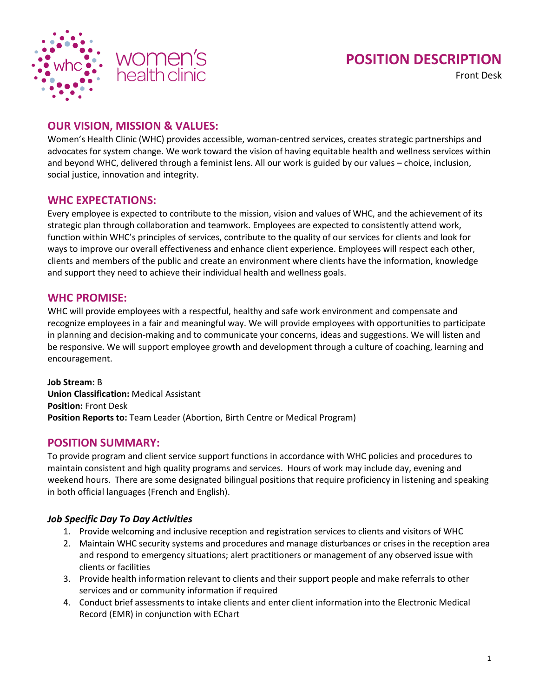

# **POSITION DESCRIPTION**

Front Desk

# **OUR VISION, MISSION & VALUES:**

Women's Health Clinic (WHC) provides accessible, woman-centred services, creates strategic partnerships and advocates for system change. We work toward the vision of having equitable health and wellness services within and beyond WHC, delivered through a feminist lens. All our work is guided by our values – choice, inclusion, social justice, innovation and integrity.

## **WHC EXPECTATIONS:**

Every employee is expected to contribute to the mission, vision and values of WHC, and the achievement of its strategic plan through collaboration and teamwork. Employees are expected to consistently attend work, function within WHC's principles of services, contribute to the quality of our services for clients and look for ways to improve our overall effectiveness and enhance client experience. Employees will respect each other, clients and members of the public and create an environment where clients have the information, knowledge and support they need to achieve their individual health and wellness goals.

## **WHC PROMISE:**

WHC will provide employees with a respectful, healthy and safe work environment and compensate and recognize employees in a fair and meaningful way. We will provide employees with opportunities to participate in planning and decision-making and to communicate your concerns, ideas and suggestions. We will listen and be responsive. We will support employee growth and development through a culture of coaching, learning and encouragement.

**Job Stream:** B **Union Classification:** Medical Assistant **Position:** Front Desk **Position Reports to:** Team Leader (Abortion, Birth Centre or Medical Program)

## **POSITION SUMMARY:**

To provide program and client service support functions in accordance with WHC policies and procedures to maintain consistent and high quality programs and services. Hours of work may include day, evening and weekend hours. There are some designated bilingual positions that require proficiency in listening and speaking in both official languages (French and English).

#### *Job Specific Day To Day Activities*

- 1. Provide welcoming and inclusive reception and registration services to clients and visitors of WHC
- 2. Maintain WHC security systems and procedures and manage disturbances or crises in the reception area and respond to emergency situations; alert practitioners or management of any observed issue with clients or facilities
- 3. Provide health information relevant to clients and their support people and make referrals to other services and or community information if required
- 4. Conduct brief assessments to intake clients and enter client information into the Electronic Medical Record (EMR) in conjunction with EChart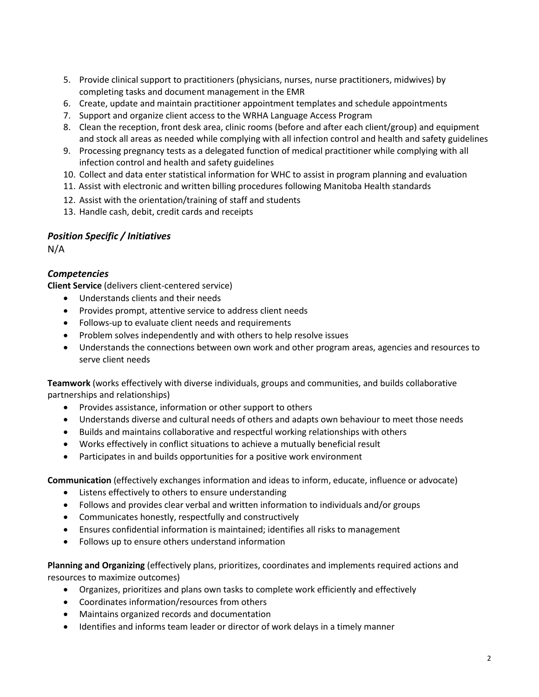- 5. Provide clinical support to practitioners (physicians, nurses, nurse practitioners, midwives) by completing tasks and document management in the EMR
- 6. Create, update and maintain practitioner appointment templates and schedule appointments
- 7. Support and organize client access to the WRHA Language Access Program
- 8. Clean the reception, front desk area, clinic rooms (before and after each client/group) and equipment and stock all areas as needed while complying with all infection control and health and safety guidelines
- 9. Processing pregnancy tests as a delegated function of medical practitioner while complying with all infection control and health and safety guidelines
- 10. Collect and data enter statistical information for WHC to assist in program planning and evaluation
- 11. Assist with electronic and written billing procedures following Manitoba Health standards
- 12. Assist with the orientation/training of staff and students
- 13. Handle cash, debit, credit cards and receipts

## *Position Specific / Initiatives*

N/A

## *Competencies*

**Client Service** (delivers client-centered service)

- Understands clients and their needs
- Provides prompt, attentive service to address client needs
- Follows-up to evaluate client needs and requirements
- Problem solves independently and with others to help resolve issues
- Understands the connections between own work and other program areas, agencies and resources to serve client needs

**Teamwork** (works effectively with diverse individuals, groups and communities, and builds collaborative partnerships and relationships)

- Provides assistance, information or other support to others
- Understands diverse and cultural needs of others and adapts own behaviour to meet those needs
- Builds and maintains collaborative and respectful working relationships with others
- Works effectively in conflict situations to achieve a mutually beneficial result
- Participates in and builds opportunities for a positive work environment

**Communication** (effectively exchanges information and ideas to inform, educate, influence or advocate)

- Listens effectively to others to ensure understanding
- Follows and provides clear verbal and written information to individuals and/or groups
- Communicates honestly, respectfully and constructively
- Ensures confidential information is maintained; identifies all risks to management
- Follows up to ensure others understand information

**Planning and Organizing** (effectively plans, prioritizes, coordinates and implements required actions and resources to maximize outcomes)

- Organizes, prioritizes and plans own tasks to complete work efficiently and effectively
- Coordinates information/resources from others
- Maintains organized records and documentation
- Identifies and informs team leader or director of work delays in a timely manner